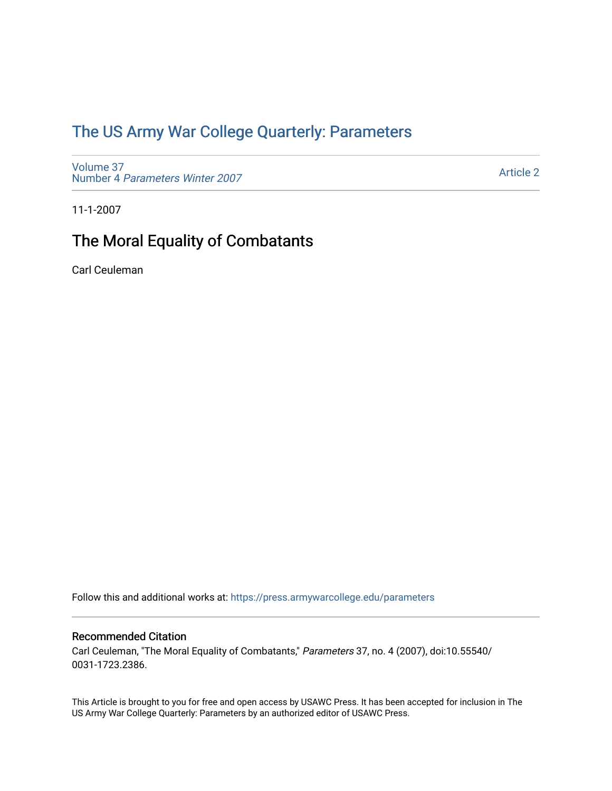## [The US Army War College Quarterly: Parameters](https://press.armywarcollege.edu/parameters)

[Volume 37](https://press.armywarcollege.edu/parameters/vol37) Number 4 [Parameters Winter 2007](https://press.armywarcollege.edu/parameters/vol37/iss4)

[Article 2](https://press.armywarcollege.edu/parameters/vol37/iss4/2) 

11-1-2007

## The Moral Equality of Combatants

Carl Ceuleman

Follow this and additional works at: [https://press.armywarcollege.edu/parameters](https://press.armywarcollege.edu/parameters?utm_source=press.armywarcollege.edu%2Fparameters%2Fvol37%2Fiss4%2F2&utm_medium=PDF&utm_campaign=PDFCoverPages) 

#### Recommended Citation

Carl Ceuleman, "The Moral Equality of Combatants," Parameters 37, no. 4 (2007), doi:10.55540/ 0031-1723.2386.

This Article is brought to you for free and open access by USAWC Press. It has been accepted for inclusion in The US Army War College Quarterly: Parameters by an authorized editor of USAWC Press.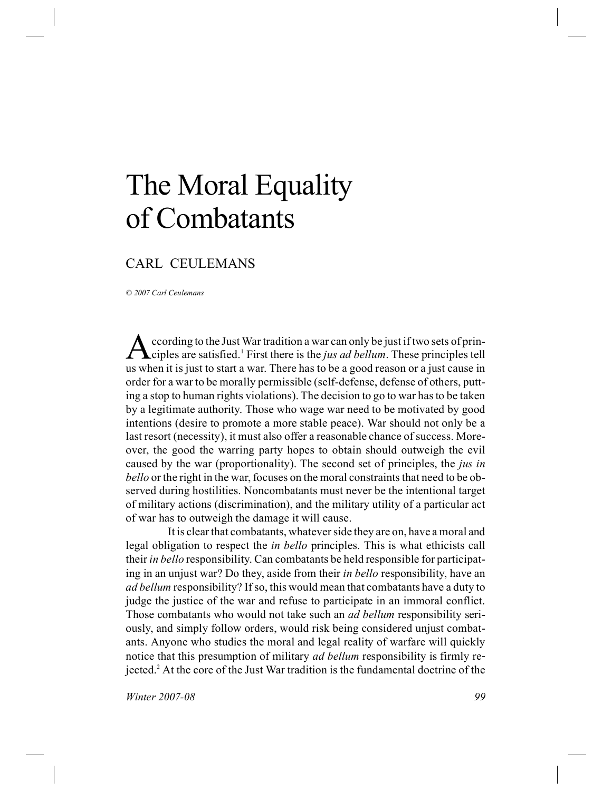# The Moral Equality of Combatants

### CARL CEULEMANS

*© 2007 Carl Ceulemans*

A ccording to the Just War tradition a war can only be just if two sets of principles are satisfied.<sup>1</sup> First there is the *jus ad bellum*. These principles tell ccording to the Just War tradition a war can only be just if two sets of prinus when it is just to start a war. There has to be a good reason or a just cause in order for a war to be morally permissible (self-defense, defense of others, putting a stop to human rights violations). The decision to go to war has to be taken by a legitimate authority. Those who wage war need to be motivated by good intentions (desire to promote a more stable peace). War should not only be a last resort (necessity), it must also offer a reasonable chance of success. Moreover, the good the warring party hopes to obtain should outweigh the evil caused by the war (proportionality). The second set of principles, the *jus in bello* or the right in the war, focuses on the moral constraints that need to be observed during hostilities. Noncombatants must never be the intentional target of military actions (discrimination), and the military utility of a particular act of war has to outweigh the damage it will cause.

It is clear that combatants, whatever side they are on, have a moral and legal obligation to respect the *in bello* principles. This is what ethicists call their *in bello* responsibility. Can combatants be held responsible for participating in an unjust war? Do they, aside from their *in bello* responsibility, have an *ad bellum* responsibility? If so, this would mean that combatants have a duty to judge the justice of the war and refuse to participate in an immoral conflict. Those combatants who would not take such an *ad bellum* responsibility seriously, and simply follow orders, would risk being considered unjust combatants. Anyone who studies the moral and legal reality of warfare will quickly notice that this presumption of military *ad bellum* responsibility is firmly rejected.<sup>2</sup> At the core of the Just War tradition is the fundamental doctrine of the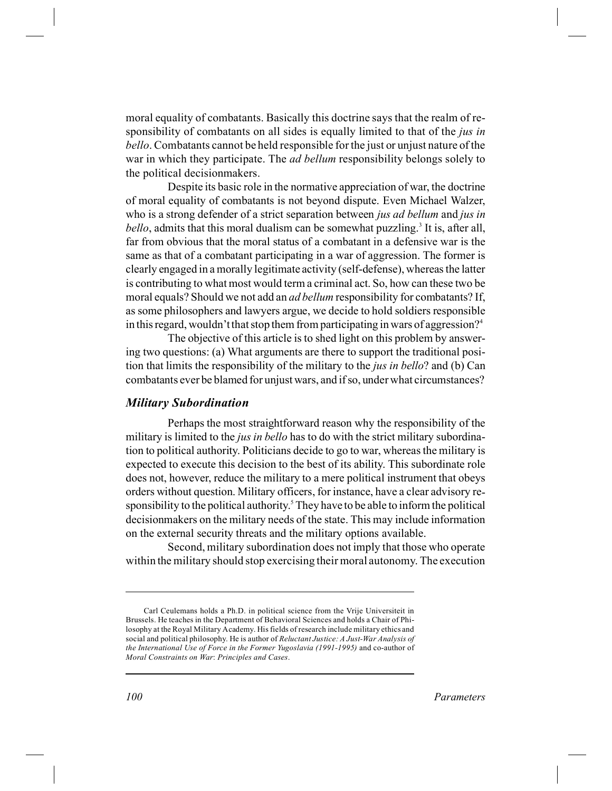moral equality of combatants. Basically this doctrine says that the realm of responsibility of combatants on all sides is equally limited to that of the *jus in bello*. Combatants cannot be held responsible for the just or unjust nature of the war in which they participate. The *ad bellum* responsibility belongs solely to the political decisionmakers.

Despite its basic role in the normative appreciation of war, the doctrine of moral equality of combatants is not beyond dispute. Even Michael Walzer, who is a strong defender of a strict separation between *jus ad bellum* and *jus in bello*, admits that this moral dualism can be somewhat puzzling.<sup>3</sup> It is, after all, far from obvious that the moral status of a combatant in a defensive war is the same as that of a combatant participating in a war of aggression. The former is clearly engaged in a morally legitimate activity (self-defense), whereas the latter is contributing to what most would term a criminal act. So, how can these two be moral equals? Should we not add an *ad bellum* responsibility for combatants? If, as some philosophers and lawyers argue, we decide to hold soldiers responsible in this regard, wouldn't that stop them from participating in wars of aggression?<sup>4</sup>

The objective of this article is to shed light on this problem by answering two questions: (a) What arguments are there to support the traditional position that limits the responsibility of the military to the *jus in bello*? and (b) Can combatants ever be blamed for unjust wars, and if so, under what circumstances?

#### *Military Subordination*

Perhaps the most straightforward reason why the responsibility of the military is limited to the *jus in bello* has to do with the strict military subordination to political authority. Politicians decide to go to war, whereas the military is expected to execute this decision to the best of its ability. This subordinate role does not, however, reduce the military to a mere political instrument that obeys orders without question. Military officers, for instance, have a clear advisory responsibility to the political authority.<sup>5</sup> They have to be able to inform the political decisionmakers on the military needs of the state. This may include information on the external security threats and the military options available.

Second, military subordination does not imply that those who operate within the military should stop exercising their moral autonomy. The execution

Carl Ceulemans holds a Ph.D. in political science from the Vrije Universiteit in Brussels. He teaches in the Department of Behavioral Sciences and holds a Chair of Philosophy at the Royal Military Academy. His fields of research include military ethics and social and political philosophy. He is author of *Reluctant Justice: A Just-War Analysis of the International Use of Force in the Former Yugoslavia (1991-1995)* and co-author of *Moral Constraints on War*: *Principles and Cases*.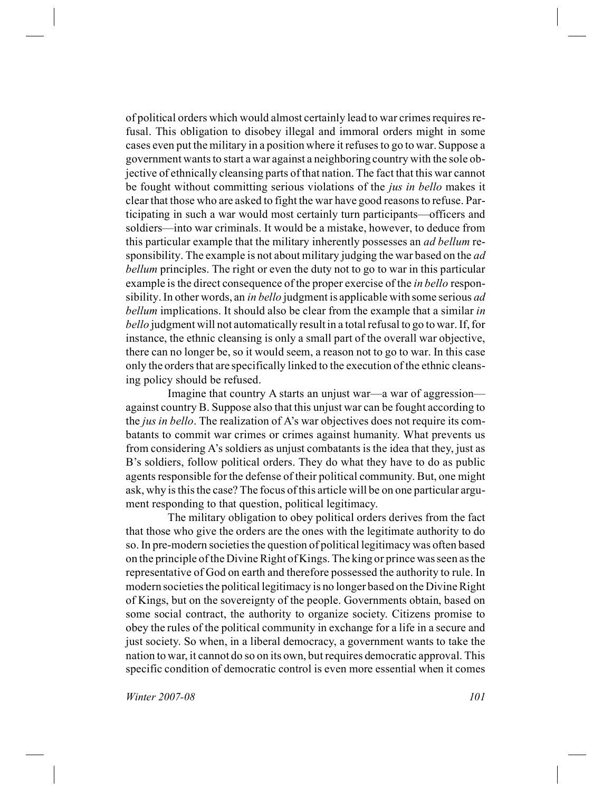of political orders which would almost certainly lead to war crimes requires refusal. This obligation to disobey illegal and immoral orders might in some cases even put the military in a position where it refuses to go to war. Suppose a government wants to start a war against a neighboring country with the sole objective of ethnically cleansing parts of that nation. The fact that this war cannot be fought without committing serious violations of the *jus in bello* makes it clear that those who are asked to fight the war have good reasons to refuse. Participating in such a war would most certainly turn participants—officers and soldiers—into war criminals. It would be a mistake, however, to deduce from this particular example that the military inherently possesses an *ad bellum* responsibility. The example is not about military judging the war based on the *ad bellum* principles. The right or even the duty not to go to war in this particular example is the direct consequence of the proper exercise of the *in bello* responsibility. In other words, an *in bello* judgment is applicable with some serious *ad bellum* implications. It should also be clear from the example that a similar *in bello* judgment will not automatically result in a total refusal to go to war. If, for instance, the ethnic cleansing is only a small part of the overall war objective, there can no longer be, so it would seem, a reason not to go to war. In this case only the orders that are specifically linked to the execution of the ethnic cleansing policy should be refused.

Imagine that country A starts an unjust war—a war of aggression against country B. Suppose also that this unjust war can be fought according to the *jus in bello*. The realization of A's war objectives does not require its combatants to commit war crimes or crimes against humanity. What prevents us from considering A's soldiers as unjust combatants is the idea that they, just as B's soldiers, follow political orders. They do what they have to do as public agents responsible for the defense of their political community. But, one might ask, why is this the case? The focus of this article will be on one particular argument responding to that question, political legitimacy.

The military obligation to obey political orders derives from the fact that those who give the orders are the ones with the legitimate authority to do so. In pre-modern societies the question of political legitimacy was often based on the principle of the Divine Right of Kings. The king or prince was seen as the representative of God on earth and therefore possessed the authority to rule. In modern societies the political legitimacy is no longer based on the Divine Right of Kings, but on the sovereignty of the people. Governments obtain, based on some social contract, the authority to organize society. Citizens promise to obey the rules of the political community in exchange for a life in a secure and just society. So when, in a liberal democracy, a government wants to take the nation to war, it cannot do so on its own, but requires democratic approval. This specific condition of democratic control is even more essential when it comes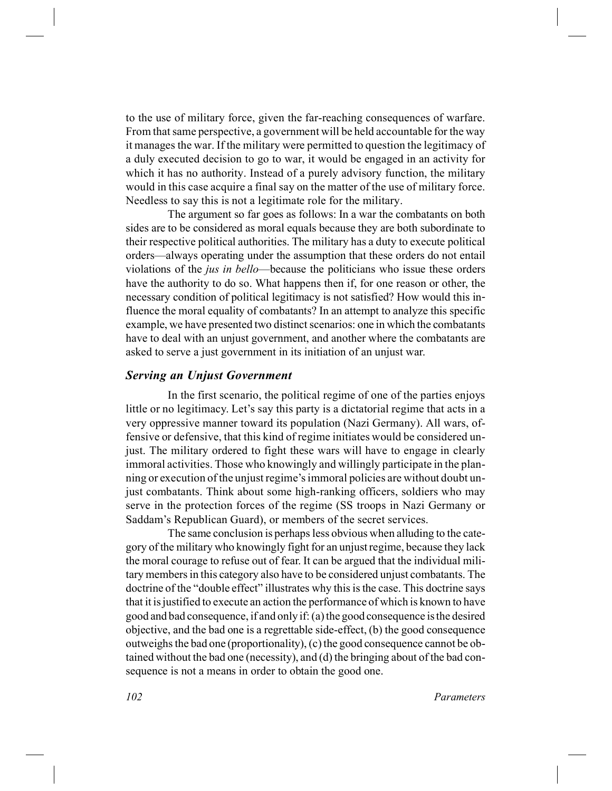to the use of military force, given the far-reaching consequences of warfare. From that same perspective, a government will be held accountable for the way it manages the war. If the military were permitted to question the legitimacy of a duly executed decision to go to war, it would be engaged in an activity for which it has no authority. Instead of a purely advisory function, the military would in this case acquire a final say on the matter of the use of military force. Needless to say this is not a legitimate role for the military.

The argument so far goes as follows: In a war the combatants on both sides are to be considered as moral equals because they are both subordinate to their respective political authorities. The military has a duty to execute political orders—always operating under the assumption that these orders do not entail violations of the *jus in bello*—because the politicians who issue these orders have the authority to do so. What happens then if, for one reason or other, the necessary condition of political legitimacy is not satisfied? How would this influence the moral equality of combatants? In an attempt to analyze this specific example, we have presented two distinct scenarios: one in which the combatants have to deal with an unjust government, and another where the combatants are asked to serve a just government in its initiation of an unjust war.

#### *Serving an Unjust Government*

In the first scenario, the political regime of one of the parties enjoys little or no legitimacy. Let's say this party is a dictatorial regime that acts in a very oppressive manner toward its population (Nazi Germany). All wars, offensive or defensive, that this kind of regime initiates would be considered unjust. The military ordered to fight these wars will have to engage in clearly immoral activities. Those who knowingly and willingly participate in the planning or execution of the unjust regime's immoral policies are without doubt unjust combatants. Think about some high-ranking officers, soldiers who may serve in the protection forces of the regime (SS troops in Nazi Germany or Saddam's Republican Guard), or members of the secret services.

The same conclusion is perhaps less obvious when alluding to the category of the military who knowingly fight for an unjust regime, because they lack the moral courage to refuse out of fear. It can be argued that the individual military members in this category also have to be considered unjust combatants. The doctrine of the "double effect" illustrates why this is the case. This doctrine says that it is justified to execute an action the performance of which is known to have good and bad consequence, if and only if: (a) the good consequence is the desired objective, and the bad one is a regrettable side-effect, (b) the good consequence outweighs the bad one (proportionality), (c) the good consequence cannot be obtained without the bad one (necessity), and (d) the bringing about of the bad consequence is not a means in order to obtain the good one.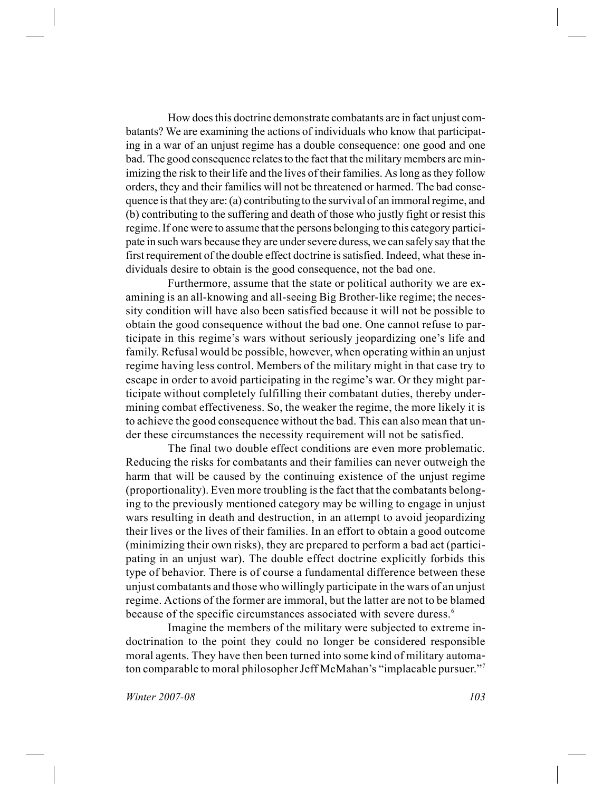How does this doctrine demonstrate combatants are in fact unjust combatants? We are examining the actions of individuals who know that participating in a war of an unjust regime has a double consequence: one good and one bad. The good consequence relates to the fact that the military members are minimizing the risk to their life and the lives of their families. As long as they follow orders, they and their families will not be threatened or harmed. The bad consequence is that they are: (a) contributing to the survival of an immoral regime, and (b) contributing to the suffering and death of those who justly fight or resist this regime. If one were to assume that the persons belonging to this category participate in such wars because they are under severe duress, we can safely say that the first requirement of the double effect doctrine is satisfied. Indeed, what these individuals desire to obtain is the good consequence, not the bad one.

Furthermore, assume that the state or political authority we are examining is an all-knowing and all-seeing Big Brother-like regime; the necessity condition will have also been satisfied because it will not be possible to obtain the good consequence without the bad one. One cannot refuse to participate in this regime's wars without seriously jeopardizing one's life and family. Refusal would be possible, however, when operating within an unjust regime having less control. Members of the military might in that case try to escape in order to avoid participating in the regime's war. Or they might participate without completely fulfilling their combatant duties, thereby undermining combat effectiveness. So, the weaker the regime, the more likely it is to achieve the good consequence without the bad. This can also mean that under these circumstances the necessity requirement will not be satisfied.

The final two double effect conditions are even more problematic. Reducing the risks for combatants and their families can never outweigh the harm that will be caused by the continuing existence of the unjust regime (proportionality). Even more troubling is the fact that the combatants belonging to the previously mentioned category may be willing to engage in unjust wars resulting in death and destruction, in an attempt to avoid jeopardizing their lives or the lives of their families. In an effort to obtain a good outcome (minimizing their own risks), they are prepared to perform a bad act (participating in an unjust war). The double effect doctrine explicitly forbids this type of behavior. There is of course a fundamental difference between these unjust combatants and those who willingly participate in the wars of an unjust regime. Actions of the former are immoral, but the latter are not to be blamed because of the specific circumstances associated with severe duress.<sup>6</sup>

Imagine the members of the military were subjected to extreme indoctrination to the point they could no longer be considered responsible moral agents. They have then been turned into some kind of military automaton comparable to moral philosopher Jeff McMahan's "implacable pursuer."<sup>7</sup>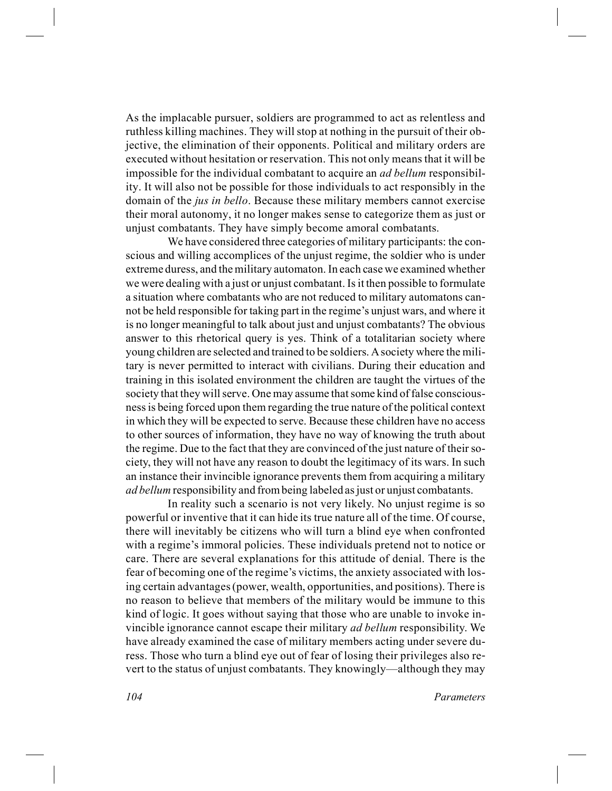As the implacable pursuer, soldiers are programmed to act as relentless and ruthless killing machines. They will stop at nothing in the pursuit of their objective, the elimination of their opponents. Political and military orders are executed without hesitation or reservation. This not only means that it will be impossible for the individual combatant to acquire an *ad bellum* responsibility. It will also not be possible for those individuals to act responsibly in the domain of the *jus in bello*. Because these military members cannot exercise their moral autonomy, it no longer makes sense to categorize them as just or unjust combatants. They have simply become amoral combatants.

We have considered three categories of military participants: the conscious and willing accomplices of the unjust regime, the soldier who is under extreme duress, and the military automaton. In each case we examined whether we were dealing with a just or unjust combatant. Is it then possible to formulate a situation where combatants who are not reduced to military automatons cannot be held responsible for taking part in the regime's unjust wars, and where it is no longer meaningful to talk about just and unjust combatants? The obvious answer to this rhetorical query is yes. Think of a totalitarian society where young children are selected and trained to be soldiers. Asociety where the military is never permitted to interact with civilians. During their education and training in this isolated environment the children are taught the virtues of the society that they will serve. One may assume that some kind of false consciousness is being forced upon them regarding the true nature of the political context in which they will be expected to serve. Because these children have no access to other sources of information, they have no way of knowing the truth about the regime. Due to the fact that they are convinced of the just nature of their society, they will not have any reason to doubt the legitimacy of its wars. In such an instance their invincible ignorance prevents them from acquiring a military *ad bellum* responsibility and from being labeled as just or unjust combatants.

In reality such a scenario is not very likely. No unjust regime is so powerful or inventive that it can hide its true nature all of the time. Of course, there will inevitably be citizens who will turn a blind eye when confronted with a regime's immoral policies. These individuals pretend not to notice or care. There are several explanations for this attitude of denial. There is the fear of becoming one of the regime's victims, the anxiety associated with losing certain advantages (power, wealth, opportunities, and positions). There is no reason to believe that members of the military would be immune to this kind of logic. It goes without saying that those who are unable to invoke invincible ignorance cannot escape their military *ad bellum* responsibility. We have already examined the case of military members acting under severe duress. Those who turn a blind eye out of fear of losing their privileges also revert to the status of unjust combatants. They knowingly—although they may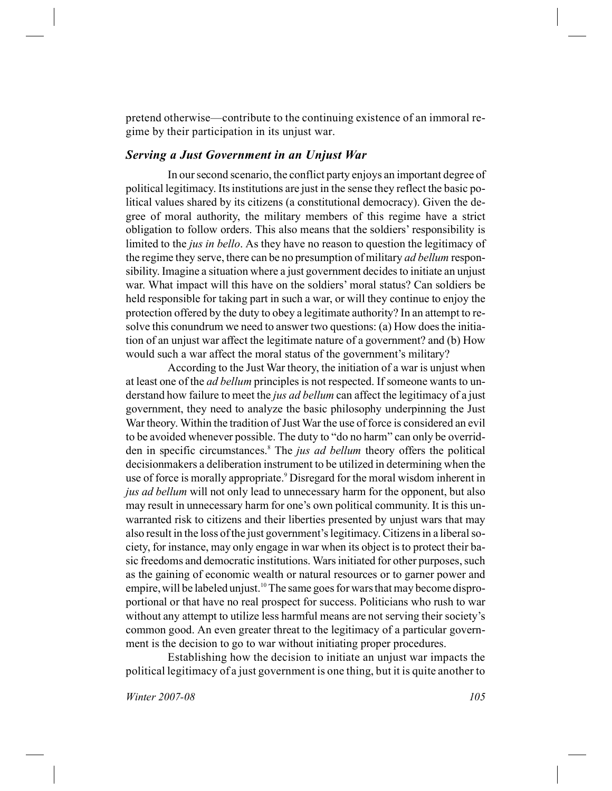pretend otherwise—contribute to the continuing existence of an immoral regime by their participation in its unjust war.

#### *Serving a Just Government in an Unjust War*

In our second scenario, the conflict party enjoys an important degree of political legitimacy. Its institutions are just in the sense they reflect the basic political values shared by its citizens (a constitutional democracy). Given the degree of moral authority, the military members of this regime have a strict obligation to follow orders. This also means that the soldiers' responsibility is limited to the *jus in bello*. As they have no reason to question the legitimacy of the regime they serve, there can be no presumption of military *ad bellum* responsibility. Imagine a situation where a just government decides to initiate an unjust war. What impact will this have on the soldiers' moral status? Can soldiers be held responsible for taking part in such a war, or will they continue to enjoy the protection offered by the duty to obey a legitimate authority? In an attempt to resolve this conundrum we need to answer two questions: (a) How does the initiation of an unjust war affect the legitimate nature of a government? and (b) How would such a war affect the moral status of the government's military?

According to the Just War theory, the initiation of a war is unjust when at least one of the *ad bellum* principles is not respected. If someone wants to understand how failure to meet the *jus ad bellum* can affect the legitimacy of a just government, they need to analyze the basic philosophy underpinning the Just War theory. Within the tradition of Just War the use of force is considered an evil to be avoided whenever possible. The duty to "do no harm" can only be overridden in specific circumstances.<sup>8</sup> The *jus ad bellum* theory offers the political decisionmakers a deliberation instrument to be utilized in determining when the use of force is morally appropriate.<sup>9</sup> Disregard for the moral wisdom inherent in *jus ad bellum* will not only lead to unnecessary harm for the opponent, but also may result in unnecessary harm for one's own political community. It is this unwarranted risk to citizens and their liberties presented by unjust wars that may also result in the loss of the just government's legitimacy. Citizens in a liberal society, for instance, may only engage in war when its object is to protect their basic freedoms and democratic institutions. Wars initiated for other purposes, such as the gaining of economic wealth or natural resources or to garner power and empire, will be labeled unjust.<sup>10</sup> The same goes for wars that may become disproportional or that have no real prospect for success. Politicians who rush to war without any attempt to utilize less harmful means are not serving their society's common good. An even greater threat to the legitimacy of a particular government is the decision to go to war without initiating proper procedures.

Establishing how the decision to initiate an unjust war impacts the political legitimacy of a just government is one thing, but it is quite another to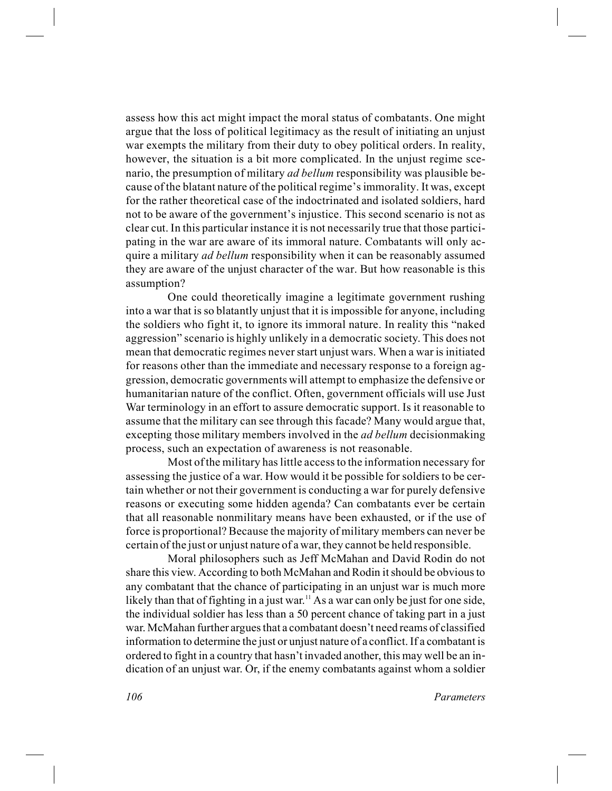assess how this act might impact the moral status of combatants. One might argue that the loss of political legitimacy as the result of initiating an unjust war exempts the military from their duty to obey political orders. In reality, however, the situation is a bit more complicated. In the unjust regime scenario, the presumption of military *ad bellum* responsibility was plausible because of the blatant nature of the political regime's immorality. It was, except for the rather theoretical case of the indoctrinated and isolated soldiers, hard not to be aware of the government's injustice. This second scenario is not as clear cut. In this particular instance it is not necessarily true that those participating in the war are aware of its immoral nature. Combatants will only acquire a military *ad bellum* responsibility when it can be reasonably assumed they are aware of the unjust character of the war. But how reasonable is this assumption?

One could theoretically imagine a legitimate government rushing into a war that is so blatantly unjust that it is impossible for anyone, including the soldiers who fight it, to ignore its immoral nature. In reality this "naked aggression" scenario is highly unlikely in a democratic society. This does not mean that democratic regimes never start unjust wars. When a war is initiated for reasons other than the immediate and necessary response to a foreign aggression, democratic governments will attempt to emphasize the defensive or humanitarian nature of the conflict. Often, government officials will use Just War terminology in an effort to assure democratic support. Is it reasonable to assume that the military can see through this facade? Many would argue that, excepting those military members involved in the *ad bellum* decisionmaking process, such an expectation of awareness is not reasonable.

Most of the military has little access to the information necessary for assessing the justice of a war. How would it be possible for soldiers to be certain whether or not their government is conducting a war for purely defensive reasons or executing some hidden agenda? Can combatants ever be certain that all reasonable nonmilitary means have been exhausted, or if the use of force is proportional? Because the majority of military members can never be certain of the just or unjust nature of a war, they cannot be held responsible.

Moral philosophers such as Jeff McMahan and David Rodin do not share this view. According to both McMahan and Rodin it should be obvious to any combatant that the chance of participating in an unjust war is much more likely than that of fighting in a just war.<sup>11</sup> As a war can only be just for one side, the individual soldier has less than a 50 percent chance of taking part in a just war. McMahan further argues that a combatant doesn't need reams of classified information to determine the just or unjust nature of a conflict. If a combatant is ordered to fight in a country that hasn't invaded another, this may well be an indication of an unjust war. Or, if the enemy combatants against whom a soldier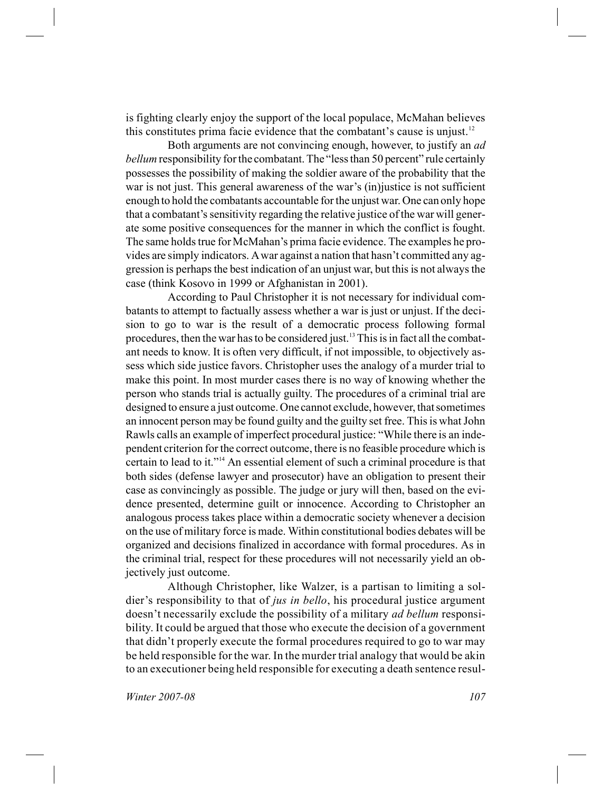is fighting clearly enjoy the support of the local populace, McMahan believes this constitutes prima facie evidence that the combatant's cause is unjust.<sup>12</sup>

Both arguments are not convincing enough, however, to justify an *ad bellum* responsibility for the combatant. The "less than 50 percent" rule certainly possesses the possibility of making the soldier aware of the probability that the war is not just. This general awareness of the war's (in) justice is not sufficient enough to hold the combatants accountable for the unjust war. One can only hope that a combatant's sensitivity regarding the relative justice of the war will generate some positive consequences for the manner in which the conflict is fought. The same holds true for McMahan's prima facie evidence. The examples he provides are simply indicators. Awar against a nation that hasn't committed any aggression is perhaps the best indication of an unjust war, but this is not always the case (think Kosovo in 1999 or Afghanistan in 2001).

According to Paul Christopher it is not necessary for individual combatants to attempt to factually assess whether a war is just or unjust. If the decision to go to war is the result of a democratic process following formal procedures, then the war has to be considered just.<sup>13</sup> This is in fact all the combatant needs to know. It is often very difficult, if not impossible, to objectively assess which side justice favors. Christopher uses the analogy of a murder trial to make this point. In most murder cases there is no way of knowing whether the person who stands trial is actually guilty. The procedures of a criminal trial are designed to ensure a just outcome. One cannot exclude, however, that sometimes an innocent person may be found guilty and the guilty set free. This is what John Rawls calls an example of imperfect procedural justice: "While there is an independent criterion for the correct outcome, there is no feasible procedure which is certain to lead to it."<sup>14</sup> An essential element of such a criminal procedure is that both sides (defense lawyer and prosecutor) have an obligation to present their case as convincingly as possible. The judge or jury will then, based on the evidence presented, determine guilt or innocence. According to Christopher an analogous process takes place within a democratic society whenever a decision on the use of military force is made. Within constitutional bodies debates will be organized and decisions finalized in accordance with formal procedures. As in the criminal trial, respect for these procedures will not necessarily yield an objectively just outcome.

Although Christopher, like Walzer, is a partisan to limiting a soldier's responsibility to that of *jus in bello*, his procedural justice argument doesn't necessarily exclude the possibility of a military *ad bellum* responsibility. It could be argued that those who execute the decision of a government that didn't properly execute the formal procedures required to go to war may be held responsible for the war. In the murder trial analogy that would be akin to an executioner being held responsible for executing a death sentence resul-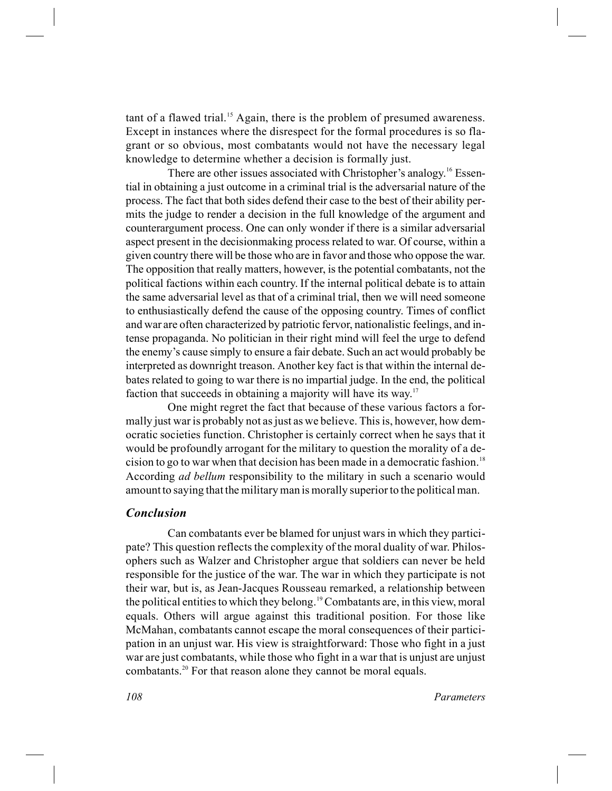tant of a flawed trial.<sup>15</sup> Again, there is the problem of presumed awareness. Except in instances where the disrespect for the formal procedures is so flagrant or so obvious, most combatants would not have the necessary legal knowledge to determine whether a decision is formally just.

There are other issues associated with Christopher's analogy.<sup>16</sup> Essential in obtaining a just outcome in a criminal trial is the adversarial nature of the process. The fact that both sides defend their case to the best of their ability permits the judge to render a decision in the full knowledge of the argument and counterargument process. One can only wonder if there is a similar adversarial aspect present in the decisionmaking process related to war. Of course, within a given country there will be those who are in favor and those who oppose the war. The opposition that really matters, however, is the potential combatants, not the political factions within each country. If the internal political debate is to attain the same adversarial level as that of a criminal trial, then we will need someone to enthusiastically defend the cause of the opposing country. Times of conflict and war are often characterized by patriotic fervor, nationalistic feelings, and intense propaganda. No politician in their right mind will feel the urge to defend the enemy's cause simply to ensure a fair debate. Such an act would probably be interpreted as downright treason. Another key fact is that within the internal debates related to going to war there is no impartial judge. In the end, the political faction that succeeds in obtaining a majority will have its way.<sup>17</sup>

One might regret the fact that because of these various factors a formally just war is probably not as just as we believe. This is, however, how democratic societies function. Christopher is certainly correct when he says that it would be profoundly arrogant for the military to question the morality of a decision to go to war when that decision has been made in a democratic fashion.<sup>18</sup> According *ad bellum* responsibility to the military in such a scenario would amount to saying that the military man is morally superior to the political man.

#### *Conclusion*

Can combatants ever be blamed for unjust wars in which they participate? This question reflects the complexity of the moral duality of war. Philosophers such as Walzer and Christopher argue that soldiers can never be held responsible for the justice of the war. The war in which they participate is not their war, but is, as Jean-Jacques Rousseau remarked, a relationship between the political entities to which they belong.<sup>19</sup> Combatants are, in this view, moral equals. Others will argue against this traditional position. For those like McMahan, combatants cannot escape the moral consequences of their participation in an unjust war. His view is straightforward: Those who fight in a just war are just combatants, while those who fight in a war that is unjust are unjust combatants.<sup>20</sup> For that reason alone they cannot be moral equals.